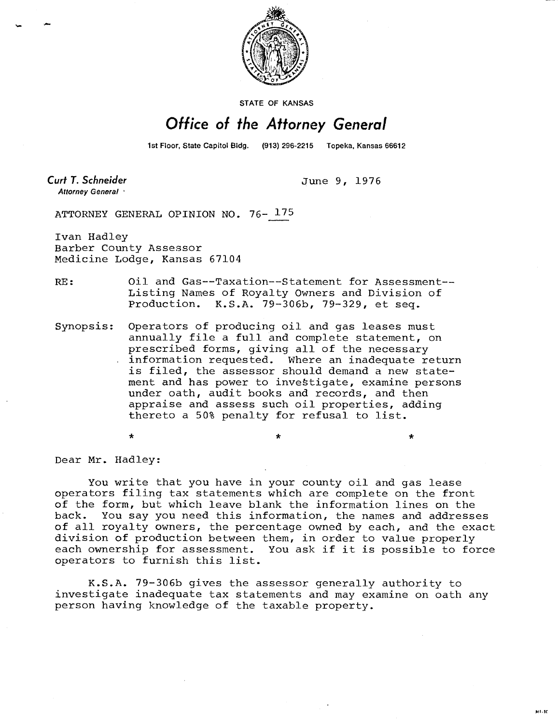

STATE OF KANSAS

## Office of the Attorney General

1st Floor, State Capitol Bldg. (913) 296-2215 Topeka, Kansas 66612

**Curt T. Schneider** Attorney General

June 9, 1976

÷

ATTORNEY GENERAL OPINION NO. 76- 175

Ivan Hadley Barber County Assessor Medicine Lodge, Kansas 67104

RE: Oil and Gas--Taxation--Statement for Assessment-- Listing Names of Royalty Owners and Division of Production. K.S.A. 79-306b, 79-329, et seq.

Synopsis: Operators of producing oil and gas leases must annually file a full and complete statement, on prescribed forms, giving all of the necessary information requested. Where an inadequate return is filed, the assessor should demand a new statement and has power to investigate, examine persons under oath, audit books and records, and then appraise and assess such oil properties, adding thereto a 50% penalty for refusal to list.

 $\star$ 

Dear Mr. Hadley:

You write that you have in your county oil and gas lease operators filing tax statements which are complete on the front of the form, but which leave blank the information lines on the back. You say you need this information, the names and addresses of all royalty owners, the percentage owned by each, and the exact division of production between them, in order to value properly each ownership for assessment. You ask if it is possible to force operators to furnish this list.

K.S.A. 79-306b gives the assessor generally authority to investigate inadequate tax statements and may examine on oath any person having knowledge of the taxable property.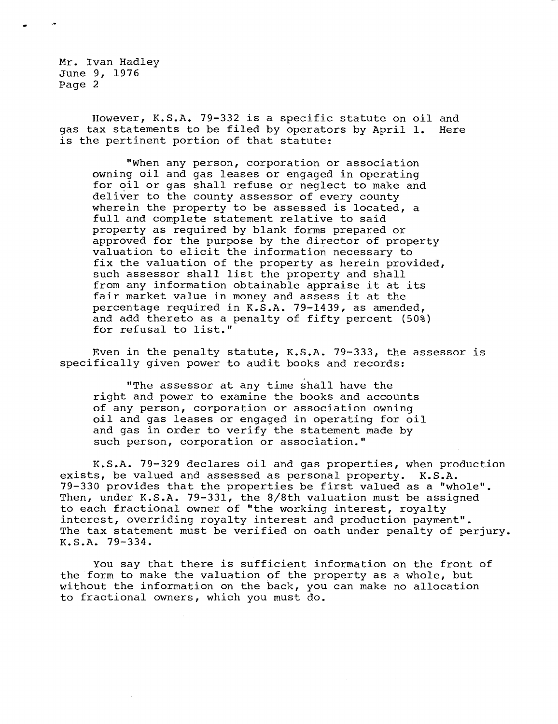Mr. Ivan Hadley June 9, 1976 Page 2

However, K.S.A. 79-332 is a specific statute on oil and gas tax statements to be filed by operators by April 1. Here is the pertinent portion of that statute:

"When any person, corporation or association owning oil and gas leases or engaged in operating for oil or gas shall refuse or neglect to make and deliver to the county assessor of every county wherein the property to be assessed is located, a full and complete statement relative to said property as required by blank forms prepared or approved for the purpose by the director of property valuation to elicit the information necessary to fix the valuation of the property as herein provided, such assessor shall list the property and shall from any information obtainable appraise it at its fair market value in money and assess it at the percentage required in K.S.A. 79-1439, as amended, and add thereto as a penalty of fifty percent (50%) for refusal to list."

Even in the penalty statute, K.S.A. 79-333, the assessor is specifically given power to audit books and records:

"The assessor at any time shall have the right and power to examine the books and accounts of any person, corporation or association owning oil and gas leases or engaged in operating for oil and gas in order to verify the statement made by such person, corporation or association."

K.S.A. 79-329 declares oil and gas properties, when production exists, be valued and assessed as personal property. K.S.A. 79-330 provides that the properties be first valued as a "whole". Then, under K.S.A. 79-331, the 8/8th valuation must be assigned to each fractional owner of "the working interest, royalty interest, overriding royalty interest and production payment". The tax statement must be verified on oath under penalty of perjury. K.S.A. 79-334.

You say that there is sufficient information on the front of the form to make the valuation of the property as a whole, but without the information on the back, you can make no allocation to fractional owners, which you must do.